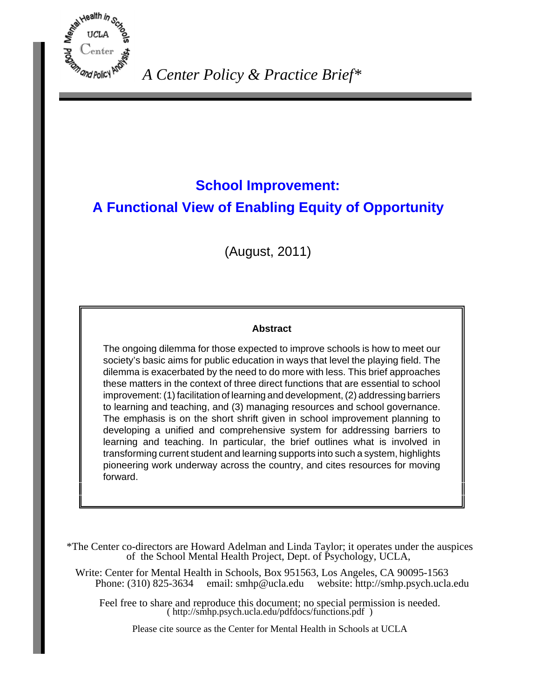

# **School Improvement: A Functional View of Enabling Equity of Opportunity**

(August, 2011)

### **Abstract**

The ongoing dilemma for those expected to improve schools is how to meet our society's basic aims for public education in ways that level the playing field. The dilemma is exacerbated by the need to do more with less. This brief approaches these matters in the context of three direct functions that are essential to school improvement: (1) facilitation of learning and development, (2) addressing barriers to learning and teaching, and (3) managing resources and school governance. The emphasis is on the short shrift given in school improvement planning to developing a unified and comprehensive system for addressing barriers to learning and teaching. In particular, the brief outlines what is involved in transforming current student and learning supports into such a system, highlights pioneering work underway across the country, and cites resources for moving forward.

\*The Center co-directors are Howard Adelman and Linda Taylor; it operates under the auspices of the School Mental Health Project, Dept. of Psychology, UCLA,

Write: Center for Mental Health in Schools, Box 951563, Los Angeles, CA 90095-1563 Phone: (310) 825-3634 email: [smhp@ucla.edu](mailto:smhp@ucla.edu) website: <http://smhp.psych.ucla.edu>

Feel free to share and reproduce this document; no special permission is needed. ( [http://smhp.psych.ucla.edu/pdfdocs/functions.pdf \)](http://smhp.psych.ucla.edu/pdfdocs/functions.pdf)

Please cite source as the Center for Mental Health in Schools at UCLA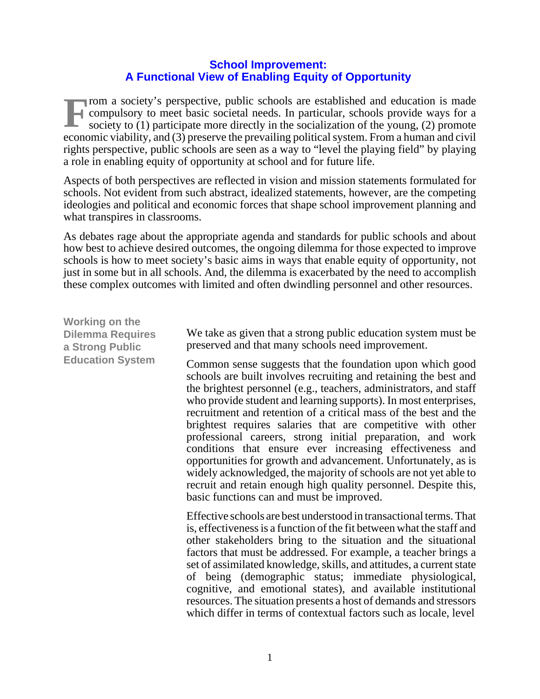# **School Improvement: A Functional View of Enabling Equity of Opportunity**

**From a society's perspective, public schools are established and education is made compulsory to meet basic societal needs. In particular, schools provide ways for a society to (1) participate more directly in the sociali** compulsory to meet basic societal needs. In particular, schools provide ways for a society to (1) participate more directly in the socialization of the young, (2) promote economic viability, and (3) preserve the prevailing political system. From a human and civil rights perspective, public schools are seen as a way to "level the playing field" by playing a role in enabling equity of opportunity at school and for future life.

Aspects of both perspectives are reflected in vision and mission statements formulated for schools. Not evident from such abstract, idealized statements, however, are the competing ideologies and political and economic forces that shape school improvement planning and what transpires in classrooms.

As debates rage about the appropriate agenda and standards for public schools and about how best to achieve desired outcomes, the ongoing dilemma for those expected to improve schools is how to meet society's basic aims in ways that enable equity of opportunity, not just in some but in all schools. And, the dilemma is exacerbated by the need to accomplish these complex outcomes with limited and often dwindling personnel and other resources.

**Working on the Dilemma Requires a Strong Public Education System** We take as given that a strong public education system must be preserved and that many schools need improvement. Common sense suggests that the foundation upon which good schools are built involves recruiting and retaining the best and the brightest personnel (e.g., teachers, administrators, and staff who provide student and learning supports). In most enterprises, recruitment and retention of a critical mass of the best and the brightest requires salaries that are competitive with other professional careers, strong initial preparation, and work conditions that ensure ever increasing effectiveness and opportunities for growth and advancement. Unfortunately, as is widely acknowledged, the majority of schools are not yet able to recruit and retain enough high quality personnel. Despite this, basic functions can and must be improved. Effective schools are best understood in transactional terms. That is, effectiveness is a function of the fit between what the staff and other stakeholders bring to the situation and the situational factors that must be addressed. For example, a teacher brings a set of assimilated knowledge, skills, and attitudes, a current state of being (demographic status; immediate physiological, cognitive, and emotional states), and available institutional resources. The situation presents a host of demands and stressors which differ in terms of contextual factors such as locale, level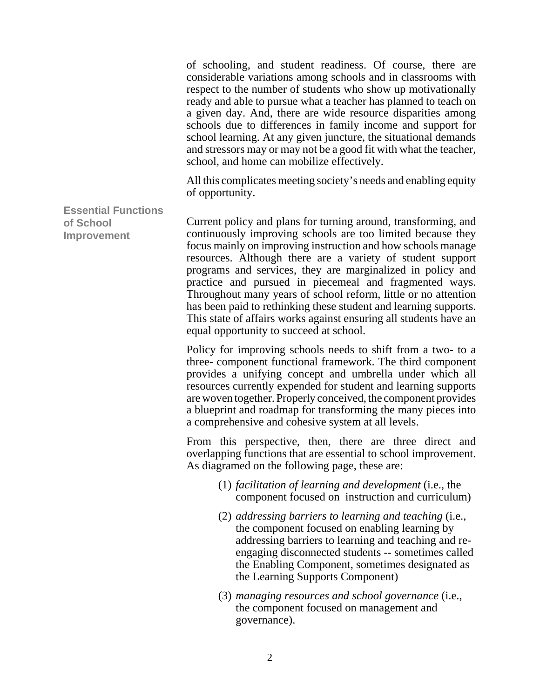of schooling, and student readiness. Of course, there are considerable variations among schools and in classrooms with respect to the number of students who show up motivationally ready and able to pursue what a teacher has planned to teach on a given day. And, there are wide resource disparities among schools due to differences in family income and support for school learning. At any given juncture, the situational demands and stressors may or may not be a good fit with what the teacher, school, and home can mobilize effectively.

All this complicates meeting society's needs and enabling equity of opportunity.

**Improvement** Current policy and plans for turning around, transforming, and continuously improving schools are too limited because they focus mainly on improving instruction and how schools manage resources. Although there are a variety of student support programs and services, they are marginalized in policy and practice and pursued in piecemeal and fragmented ways. Throughout many years of school reform, little or no attention has been paid to rethinking these student and learning supports. This state of affairs works against ensuring all students have an equal opportunity to succeed at school.

**Essential Functions**

**of School**

Policy for improving schools needs to shift from a two- to a three- component functional framework. The third component provides a unifying concept and umbrella under which all resources currently expended for student and learning supports are woven together. Properly conceived, the component provides a blueprint and roadmap for transforming the many pieces into a comprehensive and cohesive system at all levels.

From this perspective, then, there are three direct and overlapping functions that are essential to school improvement. As diagramed on the following page, these are:

- (1) *facilitation of learning and development* (i.e., the component focused on instruction and curriculum)
- (2) *addressing barriers to learning and teaching* (i.e., the component focused on enabling learning by addressing barriers to learning and teaching and reengaging disconnected students -- sometimes called the Enabling Component, sometimes designated as the Learning Supports Component)
- (3) *managing resources and school governance* (i.e., the component focused on management and governance).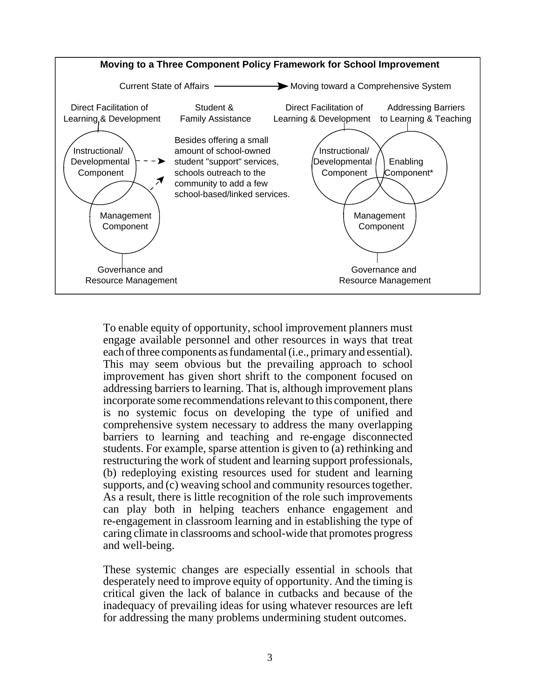

To enable equity of opportunity, school improvement planners must engage available personnel and other resources in ways that treat each of three components as fundamental (i.e., primary and essential). This may seem obvious but the prevailing approach to school improvement has given short shrift to the component focused on addressing barriers to learning. That is, although improvement plans incorporate some recommendations relevant to this component, there is no systemic focus on developing the type of unified and comprehensive system necessary to address the many overlapping barriers to learning and teaching and re-engage disconnected students. For example, sparse attention is given to (a) rethinking and restructuring the work of student and learning support professionals, (b) redeploying existing resources used for student and learning supports, and (c) weaving school and community resources together. As a result, there is little recognition of the role such improvements can play both in helping teachers enhance engagement and re-engagement in classroom learning and in establishing the type of caring climate in classrooms and school-wide that promotes progress and well-being.

These systemic changes are especially essential in schools that desperately need to improve equity of opportunity. And the timing is critical given the lack of balance in cutbacks and because of the inadequacy of prevailing ideas for using whatever resources are left for addressing the many problems undermining student outcomes.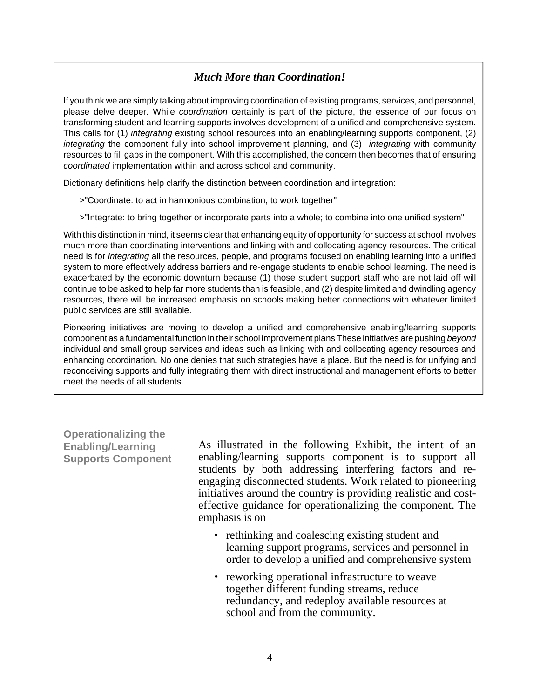# *Much More than Coordination!*

If you think we are simply talking about improving coordination of existing programs, services, and personnel, please delve deeper. While *coordination* certainly is part of the picture, the essence of our focus on transforming student and learning supports involves development of a unified and comprehensive system. This calls for (1) *integrating* existing school resources into an enabling/learning supports component, (2) *integrating* the component fully into school improvement planning, and (3) *integrating* with community resources to fill gaps in the component. With this accomplished, the concern then becomes that of ensuring *coordinated* implementation within and across school and community.

Dictionary definitions help clarify the distinction between coordination and integration:

>"Coordinate: to act in harmonious combination, to work together"

>"Integrate: to bring together or incorporate parts into a whole; to combine into one unified system"

With this distinction in mind, it seems clear that enhancing equity of opportunity for success at school involves much more than coordinating interventions and linking with and collocating agency resources. The critical need is for *integrating* all the resources, people, and programs focused on enabling learning into a unified system to more effectively address barriers and re-engage students to enable school learning. The need is exacerbated by the economic downturn because (1) those student support staff who are not laid off will continue to be asked to help far more students than is feasible, and (2) despite limited and dwindling agency resources, there will be increased emphasis on schools making better connections with whatever limited public services are still available.

Pioneering initiatives are moving to develop a unified and comprehensive enabling/learning supports component as a fundamental function in their school improvement plans These initiatives are pushing *beyond* individual and small group services and ideas such as linking with and collocating agency resources and enhancing coordination. No one denies that such strategies have a place. But the need is for unifying and reconceiving supports and fully integrating them with direct instructional and management efforts to better meet the needs of all students.

**Operationalizing the Enabling/Learning Supports Component**

I

As illustrated in the following Exhibit, the intent of an enabling/learning supports component is to support all students by both addressing interfering factors and reengaging disconnected students. Work related to pioneering initiatives around the country is providing realistic and costeffective guidance for operationalizing the component. The emphasis is on

- rethinking and coalescing existing student and learning support programs, services and personnel in order to develop a unified and comprehensive system<br>• reworking operational infrastructure to weave
- together different funding streams, reduce redundancy, and redeploy available resources at school and from the community.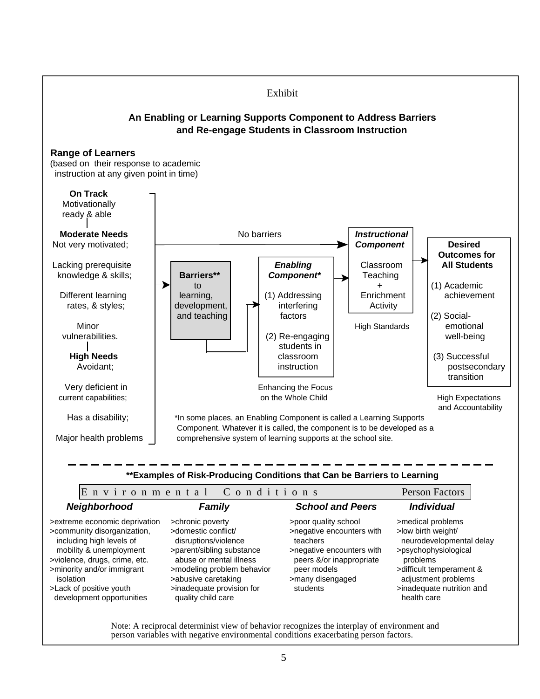

Note: A reciprocal determinist view of behavior recognizes the interplay of environment and person variables with negative environmental conditions exacerbating person factors.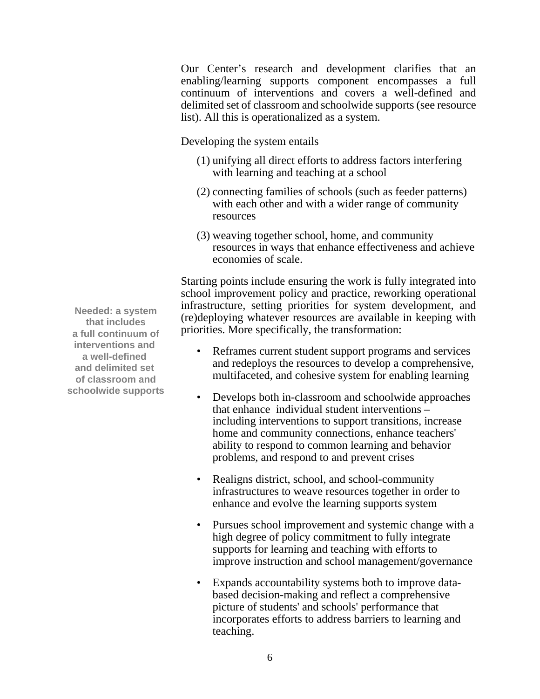Our Center's research and development clarifies that an enabling/learning supports component encompasses a full continuum of interventions and covers a well-defined and delimited set of classroom and schoolwide supports (see resource list). All this is operationalized as a system.

Developing the system entails

- (1) unifying all direct efforts to address factors interfering with learning and teaching at a school
- (2) connecting families of schools (such as feeder patterns) with each other and with a wider range of community resources
- (3) weaving together school, home, and community resources in ways that enhance effectiveness and achieve economies of scale.

Starting points include ensuring the work is fully integrated into school improvement policy and practice, reworking operational infrastructure, setting priorities for system development, and (re)deploying whatever resources are available in keeping with priorities. More specifically, the transformation:

- Reframes current student support programs and services and redeploys the resources to develop a comprehensive, multifaceted, and cohesive system for enabling learning
- Develops both in-classroom and schoolwide approaches that enhance individual student interventions – including interventions to support transitions, increase home and community connections, enhance teachers' ability to respond to common learning and behavior problems, and respond to and prevent crises
- Realigns district, school, and school-community infrastructures to weave resources together in order to enhance and evolve the learning supports system
- Pursues school improvement and systemic change with a high degree of policy commitment to fully integrate supports for learning and teaching with efforts to improve instruction and school management/governance
- Expands accountability systems both to improve databased decision-making and reflect a comprehensive picture of students' and schools' performance that incorporates efforts to address barriers to learning and teaching.

**Needed: a system that includes a full continuum of interventions and a well-defined and delimited set of classroom and schoolwide supports**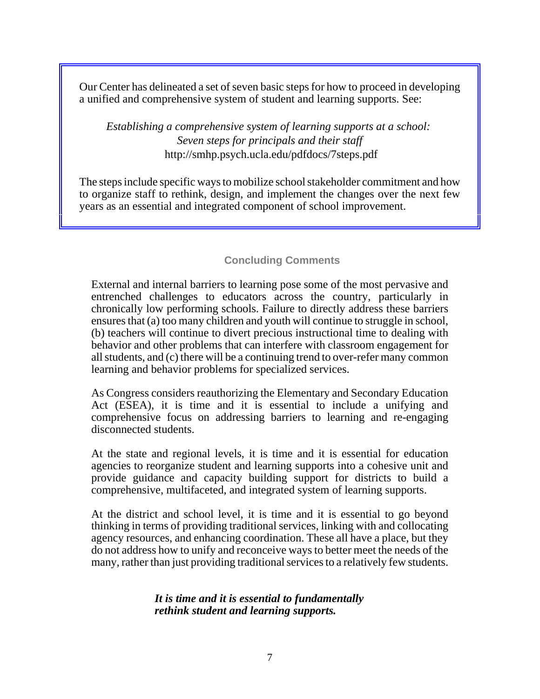Our Center has delineated a set of seven basic steps for how to proceed in developing a unified and comprehensive system of student and learning supports. See:

*Establishing a comprehensive system of learning supports at a school: Seven steps for principals and their staff* <http://smhp.psych.ucla.edu/pdfdocs/7steps.pdf>

The steps include specific ways to mobilize school stakeholder commitment and how to organize staff to rethink, design, and implement the changes over the next few years as an essential and integrated component of school improvement.

# **Concluding Comments**

External and internal barriers to learning pose some of the most pervasive and entrenched challenges to educators across the country, particularly in chronically low performing schools. Failure to directly address these barriers ensures that (a) too many children and youth will continue to struggle in school, (b) teachers will continue to divert precious instructional time to dealing with behavior and other problems that can interfere with classroom engagement for all students, and (c) there will be a continuing trend to over-refer many common learning and behavior problems for specialized services.

As Congress considers reauthorizing the Elementary and Secondary Education Act (ESEA), it is time and it is essential to include a unifying and comprehensive focus on addressing barriers to learning and re-engaging disconnected students.

At the state and regional levels, it is time and it is essential for education agencies to reorganize student and learning supports into a cohesive unit and provide guidance and capacity building support for districts to build a comprehensive, multifaceted, and integrated system of learning supports.

At the district and school level, it is time and it is essential to go beyond thinking in terms of providing traditional services, linking with and collocating agency resources, and enhancing coordination. These all have a place, but they do not address how to unify and reconceive ways to better meet the needs of the many, rather than just providing traditional services to a relatively few students.

## *It is time and it is essential to fundamentally rethink student and learning supports.*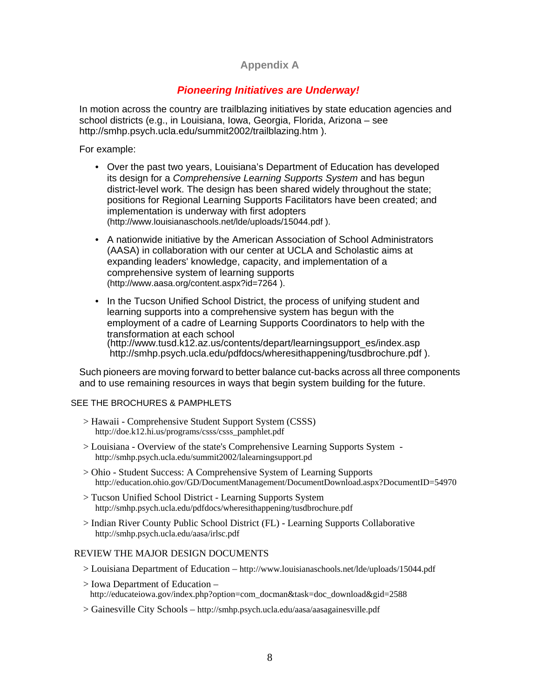# **Appendix A**

# *Pioneering Initiatives are Underway!*

In motion across the country are trailblazing initiatives by state education agencies and school districts (e.g., in Louisiana, Iowa, Georgia, Florida, Arizona – see [http://smhp.psych.ucla.edu/summit2002/trailblazing.htm \).](http://smhp.psych.ucla.edu/summit2002/trailblazing.htm) 

For example:

- Over the past two years, Louisiana's Department of Education has developed its design for a *Comprehensive Learning Supports System* and has begun district-level work. The design has been shared widely throughout the state; positions for Regional Learning Supports Facilitators have been created; and implementation is underway with first adopters ([http://www.louisianaschools.net/lde/uploads/15044.pdf \).](http://www.louisianaschools.net/lde/uploads/15044.pdf)
- A nationwide initiative by the American Association of School Administrators (AASA) in collaboration with our center at UCLA and Scholastic aims at expanding leaders' knowledge, capacity, and implementation of a comprehensive system of learning supports ([http://www.aasa.org/content.aspx?id=7264 \).](http://www.aasa.org/content.aspx?id=7264)
- In the Tucson Unified School District, the process of unifying student and learning supports into a comprehensive system has begun with the employment of a cadre of Learning Supports Coordinators to help with the transformation at each school [\(http://www.tusd.k12.az.us/contents/depart/learningsupport\\_es/index.asp](http://www.tusd.k12.az.us/contents/depart/learningsupport_es/index.asp) [http://s](http://www.tusd.k12.az.us/contents/depart/learningsupport_es/index.asp)[mhp.psych.ucla.edu/pdfdocs/wheresithappening/tusdbrochure.pdf \).](http://smhp.psych.ucla.edu/pdfdocs/wheresithappening/tusdbrochure.pdf)

Such pioneers are moving forward to better balance cut-backs across all three components and to use remaining resources in ways that begin system building for the future.

### SEE THE BROCHURES & PAMPHLETS

- > Hawaii Comprehensive Student Support System (CSSS)<br>http://doe.k12.hi.us/programs/csss/csss\_pamphlet.pdf
- $\ge$  Louisiana Overview of the state's Comprehensive Learning Supports System <http://smhp.psych.ucla.edu/summit2002/lalearningsupport.pd>> Ohio - Student Success: A Comprehensive System of Learning Supports
- <http://education.ohio.gov/GD/DocumentManagement/DocumentDownload.aspx?DocumentID=54970>
- > Tucson Unified School District Learning Supports System <http://smhp.psych.ucla.edu/pdfdocs/wheresithappening/tusdbrochure.pdf>
- > Indian River County Public School District (FL) Learning Supports Collaborative <http://smhp.psych.ucla.edu/aasa/irlsc.pdf>

- REVIEW THE MAJOR DESIGN DOCUMENTS<br>> Louisiana Department of Education <http://www.louisianaschools.net/lde/uploads/15044.pdf>
	- > Iowa Department of Education [http://educateiowa.gov/index.php?option=com\\_docman&task=doc\\_download&gid=2588](http://educateiowa.gov/index.php?option=com_docman&task=doc_download&gid=2588)
	- > Gainesville City Schools <http://smhp.psych.ucla.edu/aasa/aasagainesville.pdf>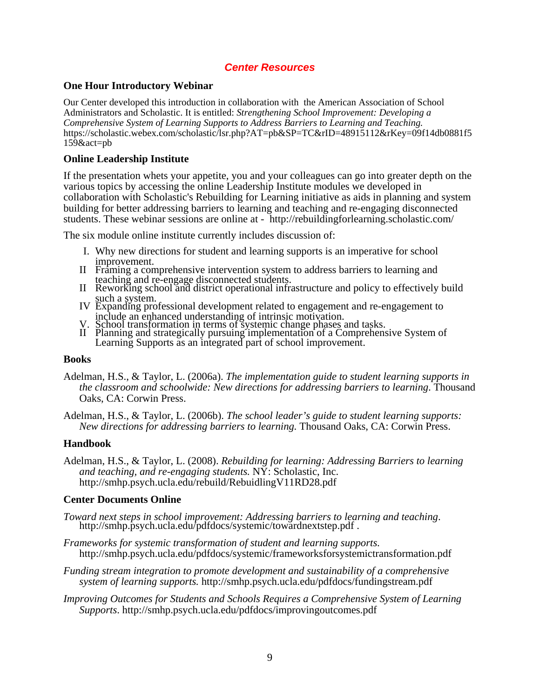## *Center Resources*

### **One Hour Introductory Webinar**

Our Center developed this introduction in collaboration with the American Association of School Administrators and Scholastic. It is entitled: *Strengthening School Improvement: Developing a Comprehensive System of Learning Supports to Address Barriers to Learning and Teaching.*  [https://scholastic.webex.com/scholastic/lsr.php?AT=pb&SP=TC&rID=48915112&rKey=09f14db0881f5](https://scholastic.webex.com/scholastic/lsr.php?AT=pb&SP=TC&rID=48915112&rKey=09f14db0881f5159&act=pb) 159&act=pb

### **Online Leadership Institute**

If the presentation whets your appetite, you and your colleagues can go into greater depth on the various topics by accessing the online Leadership Institute modules we developed in collaboration with Scholastic's Rebuilding for Learning initiative as aids in planning and system building for better addressing barriers to learning and teaching and re-engaging disconnected students. These webinar sessions are online at - <http://rebuildingforlearning.scholastic.com/>

The six module online institute currently includes discussion of: Ĩ

- I. Why new directions for student and learning supports is an imperative for school
- improvement.<br>II Framing a comprehensive intervention system to address barriers to learning and
- teaching and re-engage disconnected students. II Reworking school and district operational infrastructure and policy to effectively build
- such a system.<br>IV Expanding professional development related to engagement and re-engagement to include an enhanced understanding of intrinsic motivation. V. School transformation in terms of systemic change phases and tasks.
	-
- II Planning and strategically pursuing implementation of a Comprehensive System of Learning Supports as an integrated part of school improvement.

### **Books**

Adelman, H.S., & Taylor, L. (2006a). *The implementation guide to student learning supports in the classroom and schoolwide: New directions for addressing barriers to learning*. Thousand Oaks, CA: Corwin Press.

Adelman, H.S., & Taylor, L. (2006b). *The school leader's guide to student learning supports: New directions for addressing barriers to learning.* Thousand Oaks, CA: Corwin Press.

### **Handbook**

Adelman, H.S., & Taylor, L. (2008). *Rebuilding for learning: Addressing Barriers to learning and teaching, and re-engaging students.* NY: Scholastic, Inc. <http://smhp.psych.ucla.edu/rebuild/RebuidlingV11RD28.pdf>

### **Center Documents Online**

- *Toward next steps in school improvement: Addressing barriers to learning and teaching*. [http://smhp.psych.ucla.edu/pdfdocs/systemic/towardnextstep.pdf .](http://smhp.psych.ucla.edu/pdfdocs/systemic/towardnextstep.pdf)
- *Frameworks for systemic transformation of student and learning supports*. <http://smhp.psych.ucla.edu/pdfdocs/systemic/frameworksforsystemictransformation.pdf>
- *Funding stream integration to promote development and sustainability of a comprehensive system of learning supports.* <http://smhp.psych.ucla.edu/pdfdocs/fundingstream.pdf>
- *Improving Outcomes for Students and Schools Requires a Comprehensive System of Learning Supports*. <http://smhp.psych.ucla.edu/pdfdocs/improvingoutcomes.pdf>